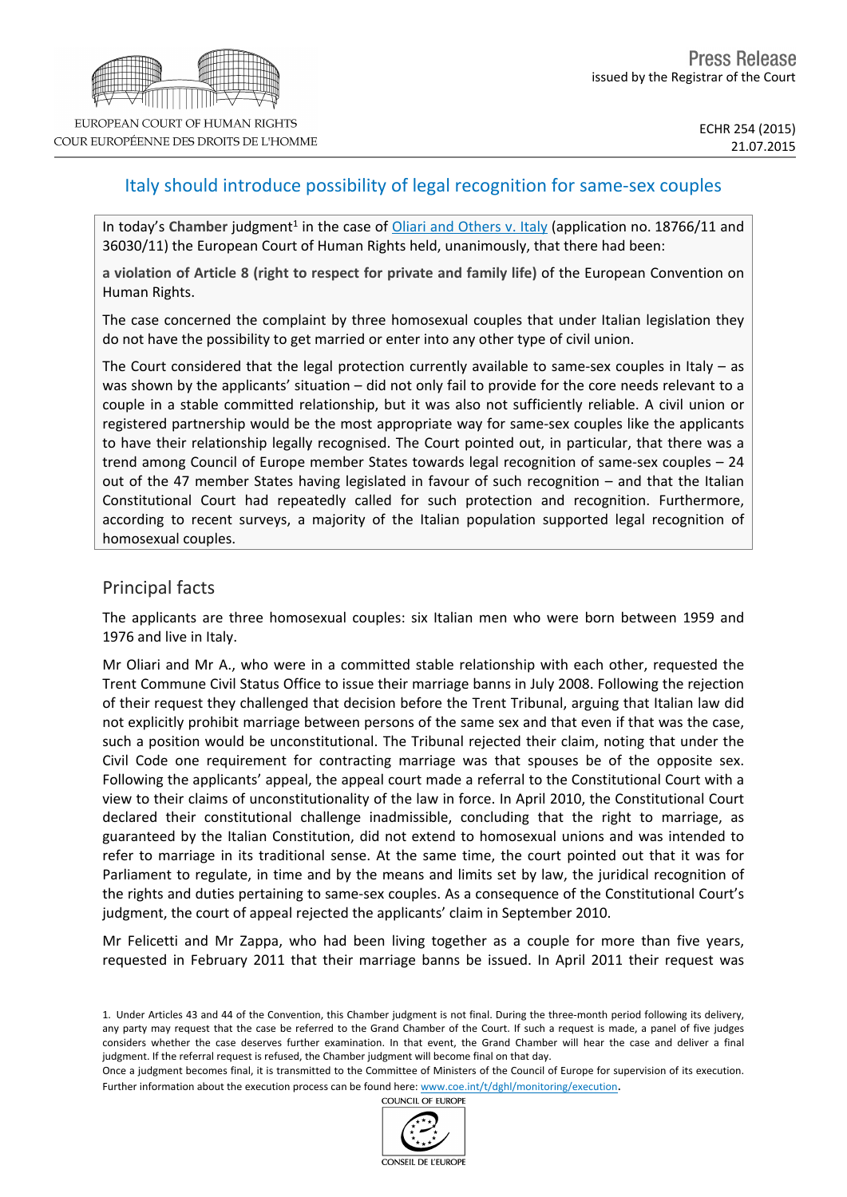# Italy should introduce possibility of legal recognition for same-sex couples

In today's Chamber judgment<sup>1</sup> in the case of *[Oliari](http://hudoc.echr.coe.int/sites/eng/pages/search.aspx?i=001-156265) [and](http://hudoc.echr.coe.int/sites/eng/pages/search.aspx?i=001-156265) [Others](http://hudoc.echr.coe.int/sites/eng/pages/search.aspx?i=001-156265) [v.](http://hudoc.echr.coe.int/sites/eng/pages/search.aspx?i=001-156265) [Italy](http://hudoc.echr.coe.int/sites/eng/pages/search.aspx?i=001-156265)* (application no. 18766/11 and 36030/11) the European Court of Human Rights held, unanimously, that there had been:

**a violation of Article 8 (right to respect for private and family life)** of the European Convention on Human Rights.

The case concerned the complaint by three homosexual couples that under Italian legislation they do not have the possibility to get married or enter into any other type of civil union.

The Court considered that the legal protection currently available to same-sex couples in Italy  $-$  as was shown by the applicants' situation – did not only fail to provide for the core needs relevant to a couple in a stable committed relationship, but it was also not sufficiently reliable. A civil union or registered partnership would be the most appropriate way for same-sex couples like the applicants to have their relationship legally recognised. The Court pointed out, in particular, that there was a trend among Council of Europe member States towards legal recognition of same-sex couples – 24 out of the 47 member States having legislated in favour of such recognition – and that the Italian Constitutional Court had repeatedly called for such protection and recognition. Furthermore, according to recent surveys, a majority of the Italian population supported legal recognition of homosexual couples.

## Principal facts

The applicants are three homosexual couples: six Italian men who were born between 1959 and 1976 and live in Italy.

Mr Oliari and Mr A., who were in a committed stable relationship with each other, requested the Trent Commune Civil Status Office to issue their marriage banns in July 2008. Following the rejection of their request they challenged that decision before the Trent Tribunal, arguing that Italian law did not explicitly prohibit marriage between persons of the same sex and that even if that was the case, such a position would be unconstitutional. The Tribunal rejected their claim, noting that under the Civil Code one requirement for contracting marriage was that spouses be of the opposite sex. Following the applicants' appeal, the appeal court made a referral to the Constitutional Court with a view to their claims of unconstitutionality of the law in force. In April 2010, the Constitutional Court declared their constitutional challenge inadmissible, concluding that the right to marriage, as guaranteed by the Italian Constitution, did not extend to homosexual unions and was intended to refer to marriage in its traditional sense. At the same time, the court pointed out that it was for Parliament to regulate, in time and by the means and limits set by law, the juridical recognition of the rights and duties pertaining to same-sex couples. As a consequence of the Constitutional Court's judgment, the court of appeal rejected the applicants' claim in September 2010.

Mr Felicetti and Mr Zappa, who had been living together as a couple for more than five years, requested in February 2011 that their marriage banns be issued. In April 2011 their request was

COUNCIL OF EUROPE



<sup>1.</sup> Under Articles 43 and 44 of the Convention, this Chamber judgment is not final. During the three-month period following its delivery, any party may request that the case be referred to the Grand Chamber of the Court. If such a request is made, a panel of five judges considers whether the case deserves further examination. In that event, the Grand Chamber will hear the case and deliver a final judgment. If the referral request is refused, the Chamber judgment will become final on that day.

Once a judgment becomes final, it is transmitted to the Committee of Ministers of the Council of Europe for supervision of its execution. Further information about the execution process can be found here: [www.coe.int/t/dghl/monitoring/execution](http://www.coe.int/t/dghl/monitoring/execution).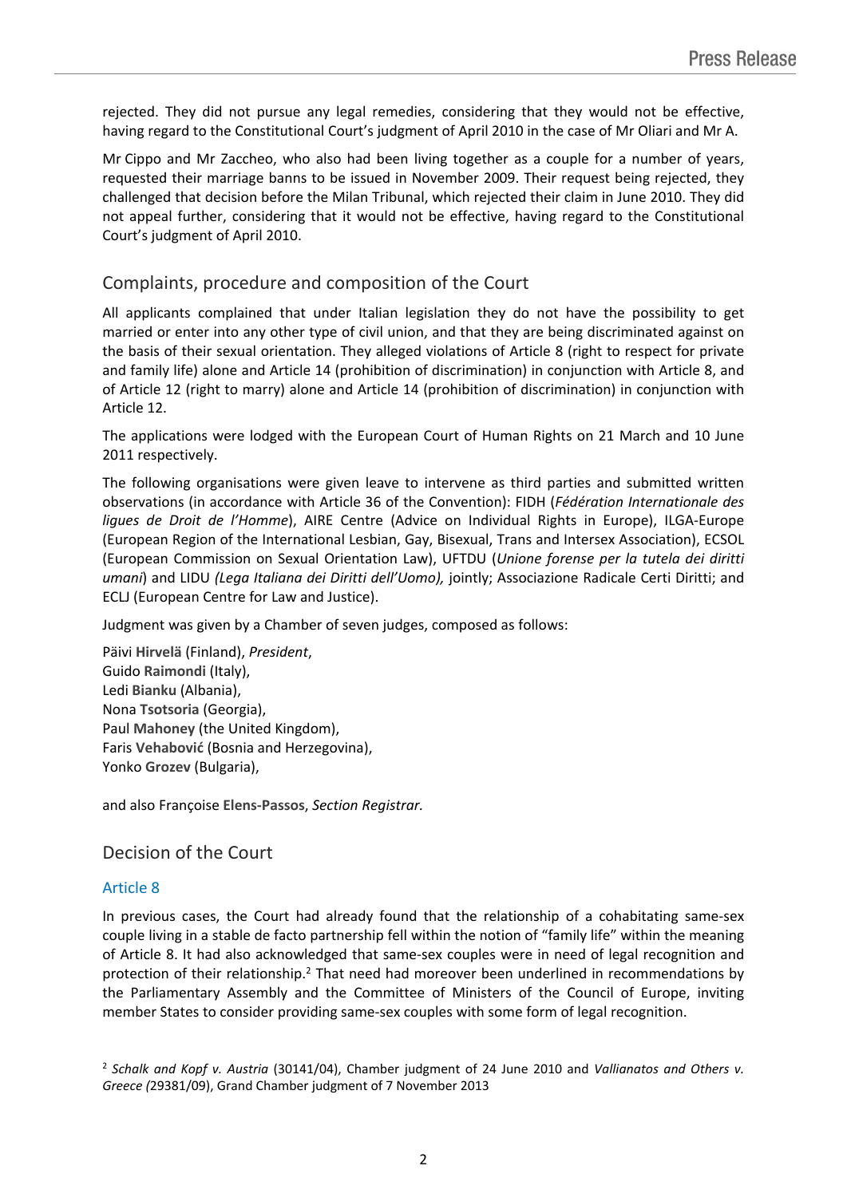rejected. They did not pursue any legal remedies, considering that they would not be effective, having regard to the Constitutional Court's judgment of April 2010 in the case of Mr Oliari and Mr A.

Mr Cippo and Mr Zaccheo, who also had been living together as a couple for a number of years, requested their marriage banns to be issued in November 2009. Their request being rejected, they challenged that decision before the Milan Tribunal, which rejected their claim in June 2010. They did not appeal further, considering that it would not be effective, having regard to the Constitutional Court's judgment of April 2010.

## Complaints, procedure and composition of the Court

All applicants complained that under Italian legislation they do not have the possibility to get married or enter into any other type of civil union, and that they are being discriminated against on the basis of their sexual orientation. They alleged violations of Article 8 (right to respect for private and family life) alone and Article 14 (prohibition of discrimination) in conjunction with Article 8, and of Article 12 (right to marry) alone and Article 14 (prohibition of discrimination) in conjunction with Article 12.

The applications were lodged with the European Court of Human Rights on 21 March and 10 June 2011 respectively.

The following organisations were given leave to intervene as third parties and submitted written observations (in accordance with Article 36 of the Convention): FIDH (*Fédération Internationale des ligues de Droit de l'Homme*), AIRE Centre (Advice on Individual Rights in Europe), ILGA-Europe (European Region of the International Lesbian, Gay, Bisexual, Trans and Intersex Association), ECSOL (European Commission on Sexual Orientation Law), UFTDU (*Unione forense per la tutela dei diritti umani*) and LIDU *(Lega Italiana dei Diritti dell'Uomo),* jointly; Associazione Radicale Certi Diritti; and ECLJ (European Centre for Law and Justice).

Judgment was given by a Chamber of seven judges, composed as follows:

Päivi **Hirvelä** (Finland), *President*, Guido **Raimondi** (Italy), Ledi **Bianku** (Albania), Nona **Tsotsoria** (Georgia), Paul **Mahoney** (the United Kingdom), Faris **Vehabović** (Bosnia and Herzegovina), Yonko **Grozev** (Bulgaria),

and also Françoise **Elens-Passos**, *Section Registrar.*

### Decision of the Court

#### Article 8

In previous cases, the Court had already found that the relationship of a cohabitating same-sex couple living in a stable de facto partnership fell within the notion of "family life" within the meaning of Article 8. It had also acknowledged that same-sex couples were in need of legal recognition and protection of their relationship.<sup>2</sup> That need had moreover been underlined in recommendations by the Parliamentary Assembly and the Committee of Ministers of the Council of Europe, inviting member States to consider providing same-sex couples with some form of legal recognition.

<sup>2</sup> *Schalk and Kopf v. Austria* (30141/04), Chamber judgment of 24 June 2010 and *Vallianatos and Others v. Greece (*29381/09), Grand Chamber judgment of 7 November 2013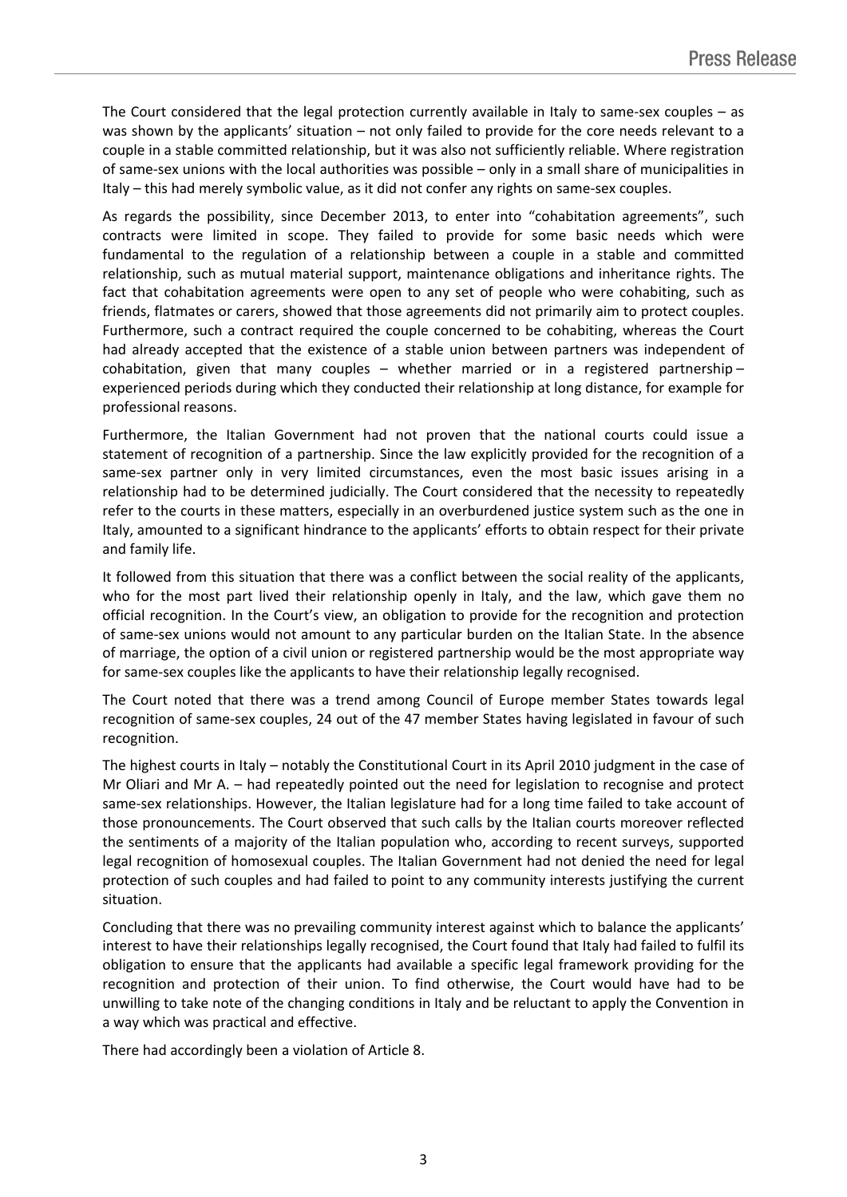The Court considered that the legal protection currently available in Italy to same-sex couples  $-$  as was shown by the applicants' situation – not only failed to provide for the core needs relevant to a couple in a stable committed relationship, but it was also not sufficiently reliable. Where registration of same-sex unions with the local authorities was possible – only in a small share of municipalities in Italy – this had merely symbolic value, as it did not confer any rights on same-sex couples.

As regards the possibility, since December 2013, to enter into "cohabitation agreements", such contracts were limited in scope. They failed to provide for some basic needs which were fundamental to the regulation of a relationship between a couple in a stable and committed relationship, such as mutual material support, maintenance obligations and inheritance rights. The fact that cohabitation agreements were open to any set of people who were cohabiting, such as friends, flatmates or carers, showed that those agreements did not primarily aim to protect couples. Furthermore, such a contract required the couple concerned to be cohabiting, whereas the Court had already accepted that the existence of a stable union between partners was independent of cohabitation, given that many couples – whether married or in a registered partnership – experienced periods during which they conducted their relationship at long distance, for example for professional reasons.

Furthermore, the Italian Government had not proven that the national courts could issue a statement of recognition of a partnership. Since the law explicitly provided for the recognition of a same-sex partner only in very limited circumstances, even the most basic issues arising in a relationship had to be determined judicially. The Court considered that the necessity to repeatedly refer to the courts in these matters, especially in an overburdened justice system such as the one in Italy, amounted to a significant hindrance to the applicants' efforts to obtain respect for their private and family life.

It followed from this situation that there was a conflict between the social reality of the applicants, who for the most part lived their relationship openly in Italy, and the law, which gave them no official recognition. In the Court's view, an obligation to provide for the recognition and protection of same-sex unions would not amount to any particular burden on the Italian State. In the absence of marriage, the option of a civil union or registered partnership would be the most appropriate way for same-sex couples like the applicants to have their relationship legally recognised.

The Court noted that there was a trend among Council of Europe member States towards legal recognition of same-sex couples, 24 out of the 47 member States having legislated in favour of such recognition.

The highest courts in Italy – notably the Constitutional Court in its April 2010 judgment in the case of Mr Oliari and Mr A. – had repeatedly pointed out the need for legislation to recognise and protect same-sex relationships. However, the Italian legislature had for a long time failed to take account of those pronouncements. The Court observed that such calls by the Italian courts moreover reflected the sentiments of a majority of the Italian population who, according to recent surveys, supported legal recognition of homosexual couples. The Italian Government had not denied the need for legal protection of such couples and had failed to point to any community interests justifying the current situation.

Concluding that there was no prevailing community interest against which to balance the applicants' interest to have their relationships legally recognised, the Court found that Italy had failed to fulfil its obligation to ensure that the applicants had available a specific legal framework providing for the recognition and protection of their union. To find otherwise, the Court would have had to be unwilling to take note of the changing conditions in Italy and be reluctant to apply the Convention in a way which was practical and effective.

There had accordingly been a violation of Article 8.